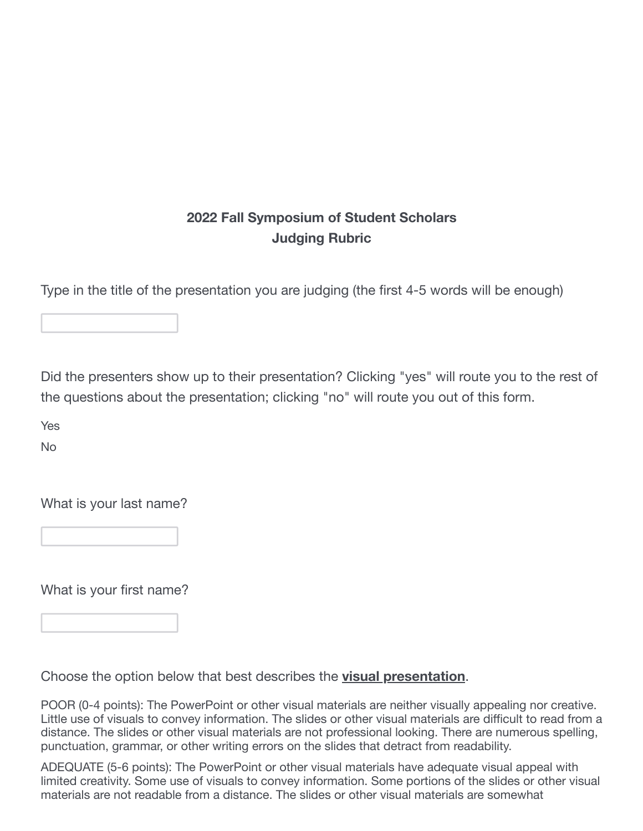## **2022 Fall Symposium of Student Scholars Judging Rubric**

Type in the title of the presentation you are judging (the first 4-5 words will be enough)

Did the presenters show up to their presentation? Clicking "yes" will route you to the rest of the questions about the presentation; clicking "no" will route you out of this form.

Yes

No

What is your last name?

What is your first name?

Choose the option below that best describes the **visual presentation**.

POOR (0-4 points): The PowerPoint or other visual materials are neither visually appealing nor creative. Little use of visuals to convey information. The slides or other visual materials are difficult to read from a distance. The slides or other visual materials are not professional looking. There are numerous spelling, punctuation, grammar, or other writing errors on the slides that detract from readability.

ADEQUATE (5-6 points): The PowerPoint or other visual materials have adequate visual appeal with limited creativity. Some use of visuals to convey information. Some portions of the slides or other visual materials are not readable from a distance. The slides or other visual materials are somewhat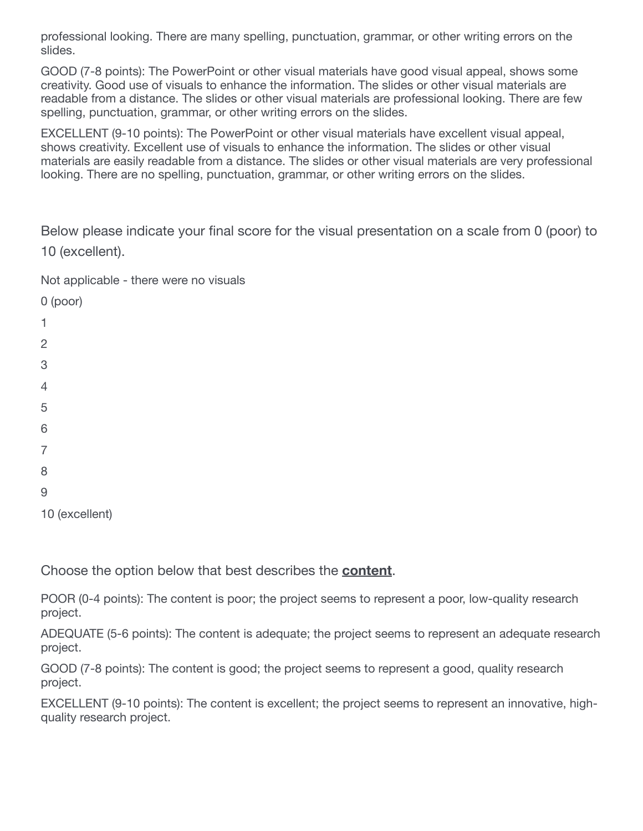professional looking. There are many spelling, punctuation, grammar, or other writing errors on the slides.

GOOD (7-8 points): The PowerPoint or other visual materials have good visual appeal, shows some creativity. Good use of visuals to enhance the information. The slides or other visual materials are readable from a distance. The slides or other visual materials are professional looking. There are few spelling, punctuation, grammar, or other writing errors on the slides.

EXCELLENT (9-10 points): The PowerPoint or other visual materials have excellent visual appeal, shows creativity. Excellent use of visuals to enhance the information. The slides or other visual materials are easily readable from a distance. The slides or other visual materials are very professional looking. There are no spelling, punctuation, grammar, or other writing errors on the slides.

Below please indicate your final score for the visual presentation on a scale from 0 (poor) to 10 (excellent).

Not applicable - there were no visuals

Choose the option below that best describes the **content**.

POOR (0-4 points): The content is poor; the project seems to represent a poor, low-quality research project.

ADEQUATE (5-6 points): The content is adequate; the project seems to represent an adequate research project.

GOOD (7-8 points): The content is good; the project seems to represent a good, quality research project.

EXCELLENT (9-10 points): The content is excellent; the project seems to represent an innovative, highquality research project.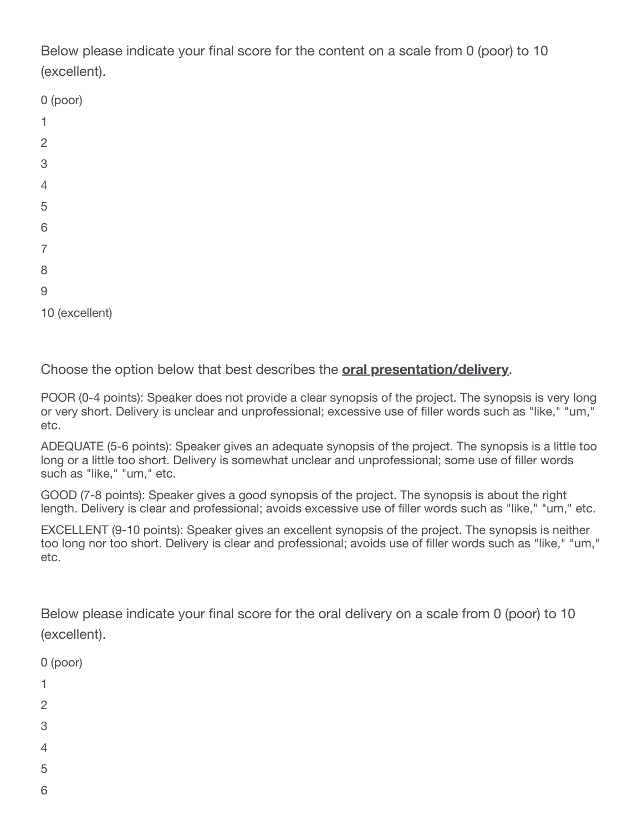Below please indicate your final score for the content on a scale from 0 (poor) to 10 (excellent).

0 (poor)

Choose the option below that best describes the **oral presentation/delivery**.

POOR (0-4 points): Speaker does not provide a clear synopsis of the project. The synopsis is very long or very short. Delivery is unclear and unprofessional; excessive use of filler words such as "like," "um," etc.

ADEQUATE (5-6 points): Speaker gives an adequate synopsis of the project. The synopsis is a little too long or a little too short. Delivery is somewhat unclear and unprofessional; some use of filler words such as "like," "um," etc.

GOOD (7-8 points): Speaker gives a good synopsis of the project. The synopsis is about the right length. Delivery is clear and professional; avoids excessive use of filler words such as "like," "um," etc.

EXCELLENT (9-10 points): Speaker gives an excellent synopsis of the project. The synopsis is neither too long nor too short. Delivery is clear and professional; avoids use of filler words such as "like," "um," etc.

Below please indicate your final score for the oral delivery on a scale from 0 (poor) to 10 (excellent).

- 0 (poor) 1 2 3 4 5
- 6